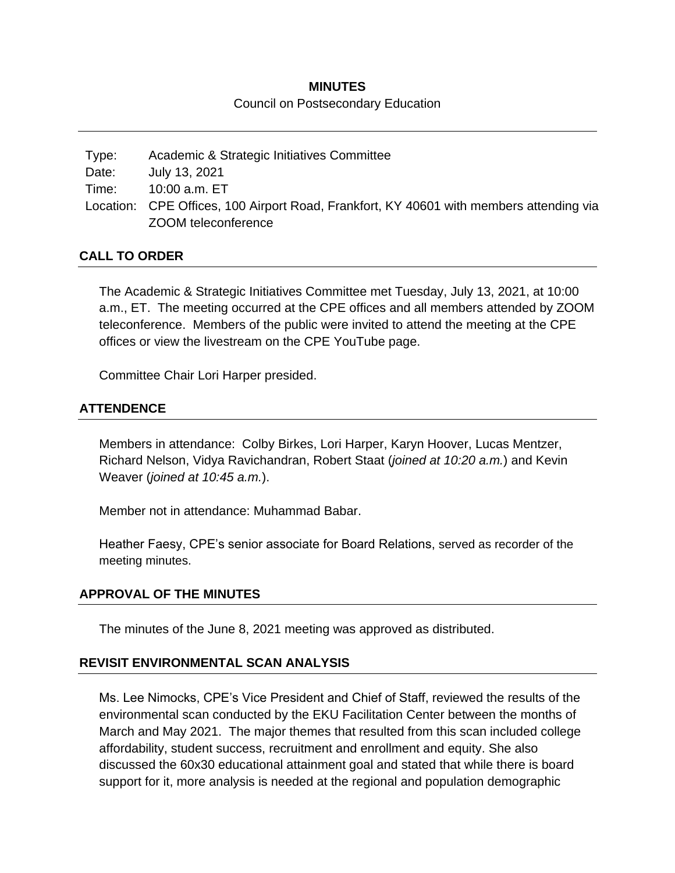# **MINUTES** Council on Postsecondary Education

Type: Academic & Strategic Initiatives Committee Date: July 13, 2021 Time: 10:00 a.m. ET Location: CPE Offices, 100 Airport Road, Frankfort, KY 40601 with members attending via ZOOM teleconference

# **CALL TO ORDER**

The Academic & Strategic Initiatives Committee met Tuesday, July 13, 2021, at 10:00 a.m., ET. The meeting occurred at the CPE offices and all members attended by ZOOM teleconference. Members of the public were invited to attend the meeting at the CPE offices or view the livestream on the CPE YouTube page.

Committee Chair Lori Harper presided.

# **ATTENDENCE**

Members in attendance: Colby Birkes, Lori Harper, Karyn Hoover, Lucas Mentzer, Richard Nelson, Vidya Ravichandran, Robert Staat (*joined at 10:20 a.m.*) and Kevin Weaver (*joined at 10:45 a.m.*).

Member not in attendance: Muhammad Babar.

Heather Faesy, CPE's senior associate for Board Relations, served as recorder of the meeting minutes.

#### **APPROVAL OF THE MINUTES**

The minutes of the June 8, 2021 meeting was approved as distributed.

#### **REVISIT ENVIRONMENTAL SCAN ANALYSIS**

Ms. Lee Nimocks, CPE's Vice President and Chief of Staff, reviewed the results of the environmental scan conducted by the EKU Facilitation Center between the months of March and May 2021. The major themes that resulted from this scan included college affordability, student success, recruitment and enrollment and equity. She also discussed the 60x30 educational attainment goal and stated that while there is board support for it, more analysis is needed at the regional and population demographic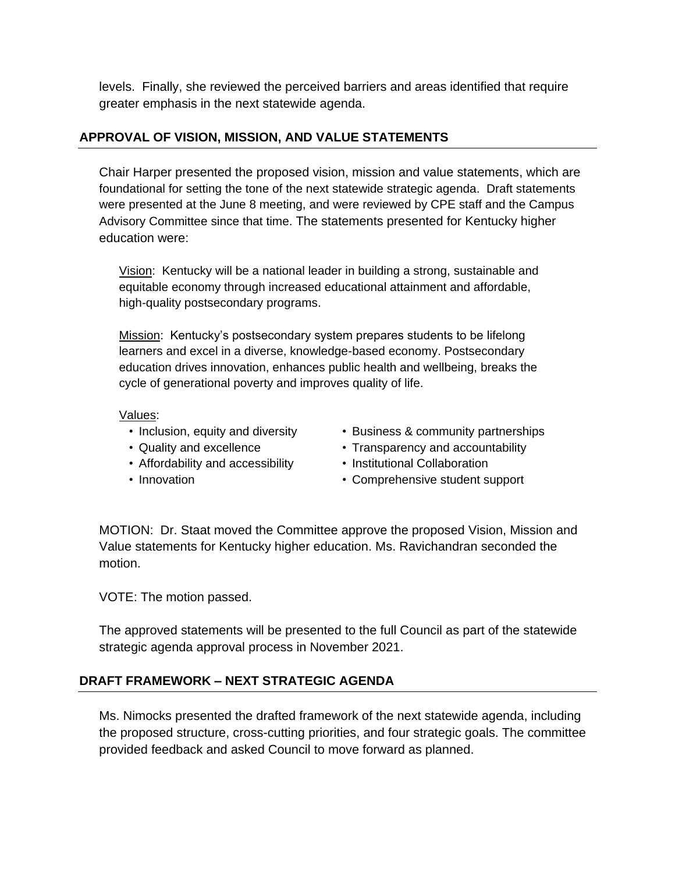levels. Finally, she reviewed the perceived barriers and areas identified that require greater emphasis in the next statewide agenda.

# **APPROVAL OF VISION, MISSION, AND VALUE STATEMENTS**

Chair Harper presented the proposed vision, mission and value statements, which are foundational for setting the tone of the next statewide strategic agenda. Draft statements were presented at the June 8 meeting, and were reviewed by CPE staff and the Campus Advisory Committee since that time. The statements presented for Kentucky higher education were:

Vision: Kentucky will be a national leader in building a strong, sustainable and equitable economy through increased educational attainment and affordable, high-quality postsecondary programs.

Mission: Kentucky's postsecondary system prepares students to be lifelong learners and excel in a diverse, knowledge-based economy. Postsecondary education drives innovation, enhances public health and wellbeing, breaks the cycle of generational poverty and improves quality of life.

#### Values:

- Inclusion, equity and diversity
- Quality and excellence
- Affordability and accessibility
- Innovation
- Business & community partnerships
- Transparency and accountability
- Institutional Collaboration
- Comprehensive student support

MOTION: Dr. Staat moved the Committee approve the proposed Vision, Mission and Value statements for Kentucky higher education. Ms. Ravichandran seconded the motion.

VOTE: The motion passed.

The approved statements will be presented to the full Council as part of the statewide strategic agenda approval process in November 2021.

# **DRAFT FRAMEWORK – NEXT STRATEGIC AGENDA**

Ms. Nimocks presented the drafted framework of the next statewide agenda, including the proposed structure, cross-cutting priorities, and four strategic goals. The committee provided feedback and asked Council to move forward as planned.